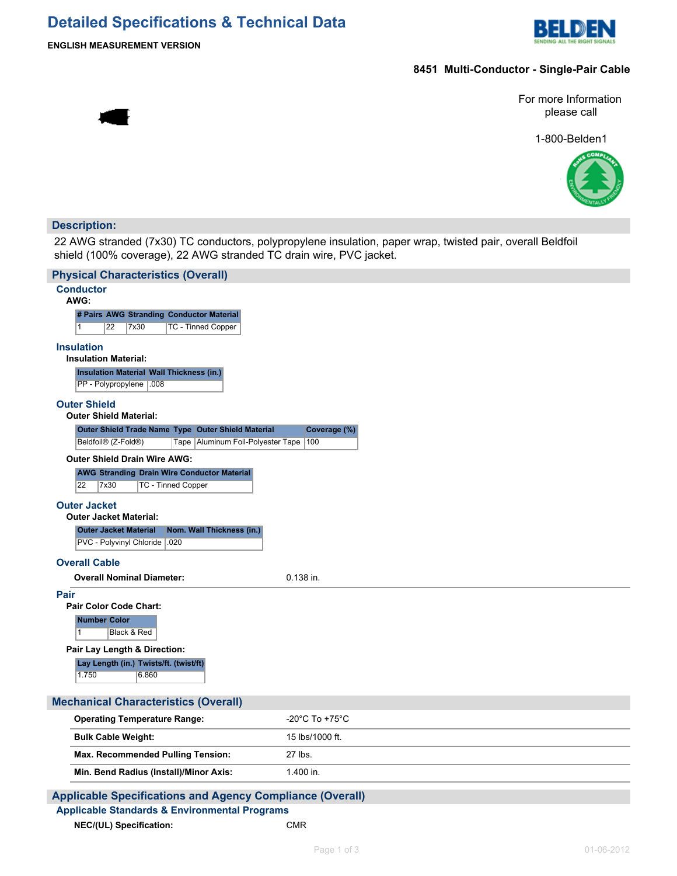## **Detailed Specifications & Technical Data**



**ENGLISH MEASUREMENT VERSION**

## **8451 Multi-Conductor - Single-Pair Cable**

For more Information please call

1-800-Belden1



### **Description:**

22 AWG stranded (7x30) TC conductors, polypropylene insulation, paper wrap, twisted pair, overall Beldfoil shield (100% coverage), 22 AWG stranded TC drain wire, PVC jacket.

| <b>Physical Characteristics (Overall)</b>                                                           |                                      |
|-----------------------------------------------------------------------------------------------------|--------------------------------------|
| <b>Conductor</b><br>AWG:                                                                            |                                      |
| # Pairs AWG Stranding Conductor Material                                                            |                                      |
| 22<br>TC - Tinned Copper<br>1<br>7x30                                                               |                                      |
| <b>Insulation</b>                                                                                   |                                      |
| <b>Insulation Material:</b>                                                                         |                                      |
| Insulation Material Wall Thickness (in.)                                                            |                                      |
| PP - Polypropylene   .008                                                                           |                                      |
| <b>Outer Shield</b>                                                                                 |                                      |
| <b>Outer Shield Material:</b>                                                                       |                                      |
| Outer Shield Trade Name Type Outer Shield Material                                                  | Coverage (%)                         |
| Beldfoil® (Z-Fold®)<br>Tape   Aluminum Foil-Polyester Tape                                          | 100                                  |
| <b>Outer Shield Drain Wire AWG:</b>                                                                 |                                      |
| <b>AWG Stranding Drain Wire Conductor Material</b><br>$\overline{22}$<br>7x30<br>TC - Tinned Copper |                                      |
|                                                                                                     |                                      |
| <b>Outer Jacket</b><br><b>Outer Jacket Material:</b>                                                |                                      |
| <b>Outer Jacket Material</b><br>Nom. Wall Thickness (in.)                                           |                                      |
| PVC - Polyvinyl Chloride   .020                                                                     |                                      |
|                                                                                                     |                                      |
| <b>Overall Cable</b>                                                                                | 0.138 in.                            |
| <b>Overall Nominal Diameter:</b>                                                                    |                                      |
| Pair<br>Pair Color Code Chart:                                                                      |                                      |
| <b>Number Color</b>                                                                                 |                                      |
| $\mathbf{1}$<br>Black & Red                                                                         |                                      |
| Pair Lay Length & Direction:                                                                        |                                      |
| Lay Length (in.) Twists/ft. (twist/ft)                                                              |                                      |
| 1.750<br>6.860                                                                                      |                                      |
|                                                                                                     |                                      |
| <b>Mechanical Characteristics (Overall)</b>                                                         |                                      |
| <b>Operating Temperature Range:</b>                                                                 | -20 $^{\circ}$ C To +75 $^{\circ}$ C |
| <b>Bulk Cable Weight:</b>                                                                           | 15 lbs/1000 ft.                      |
| Max. Recommended Pulling Tension:                                                                   | 27 lbs.                              |
| Min. Bend Radius (Install)/Minor Axis:                                                              | 1.400 in.                            |
| <b>Applicable Specifications and Agency Compliance (Overall)</b>                                    |                                      |
| <b>Applicable Standards &amp; Environmental Programs</b>                                            |                                      |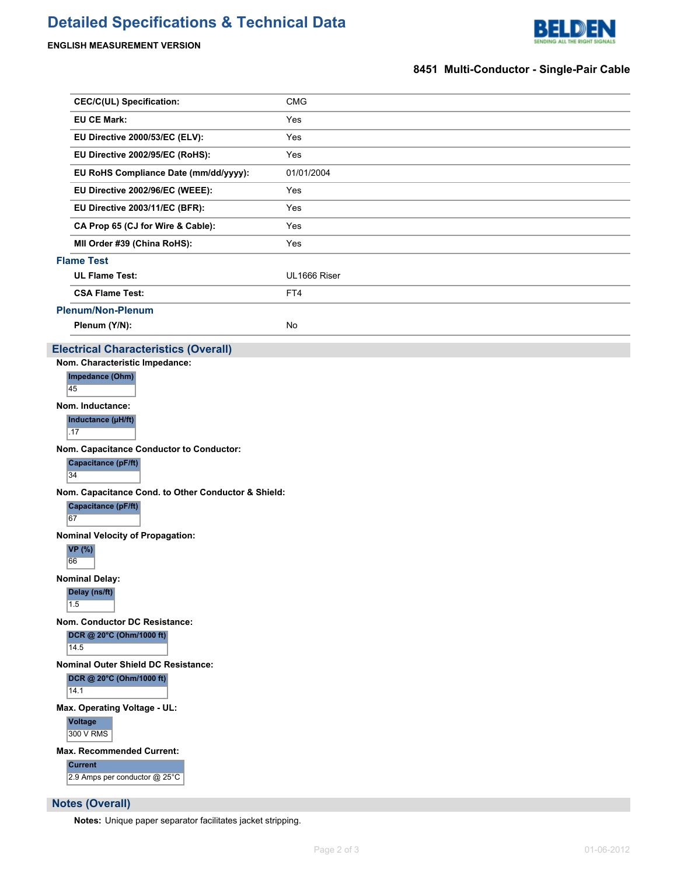# **Detailed Specifications & Technical Data**



## **ENGLISH MEASUREMENT VERSION**

## **8451 Multi-Conductor - Single-Pair Cable**

| <b>CEC/C(UL) Specification:</b>                     | <b>CMG</b>   |
|-----------------------------------------------------|--------------|
| <b>EU CE Mark:</b>                                  | Yes          |
| EU Directive 2000/53/EC (ELV):                      | Yes          |
| EU Directive 2002/95/EC (RoHS):                     | Yes          |
| EU RoHS Compliance Date (mm/dd/yyyy):               | 01/01/2004   |
| EU Directive 2002/96/EC (WEEE):                     | Yes          |
| EU Directive 2003/11/EC (BFR):                      | Yes          |
| CA Prop 65 (CJ for Wire & Cable):                   | Yes          |
| MII Order #39 (China RoHS):                         | Yes          |
| <b>Flame Test</b>                                   |              |
| <b>UL Flame Test:</b>                               | UL1666 Riser |
| <b>CSA Flame Test:</b>                              | FT4          |
| <b>Plenum/Non-Plenum</b>                            |              |
| Plenum (Y/N):                                       | No           |
| <b>Electrical Characteristics (Overall)</b>         |              |
| Nom. Characteristic Impedance:                      |              |
| Impedance (Ohm)<br>45                               |              |
| Nom. Inductance:                                    |              |
| Inductance (µH/ft)                                  |              |
| .17                                                 |              |
| Nom. Capacitance Conductor to Conductor:            |              |
| Capacitance (pF/ft)<br>34                           |              |
| Nom. Capacitance Cond. to Other Conductor & Shield: |              |
| Capacitance (pF/ft)<br>67                           |              |
| <b>Nominal Velocity of Propagation:</b>             |              |
| <b>VP</b> (%)<br>66                                 |              |
| <b>Nominal Delay:</b>                               |              |
| Delay (ns/ft)<br>1.5                                |              |
| Nom. Conductor DC Resistance:                       |              |
| DCR @ 20°C (Ohm/1000 ft)<br>14.5                    |              |
| <b>Nominal Outer Shield DC Resistance:</b>          |              |
| DCR @ 20°C (Ohm/1000 ft)<br>14.1                    |              |
| Max. Operating Voltage - UL:                        |              |
| Voltage                                             |              |
| 300 V RMS                                           |              |
| <b>Max. Recommended Current:</b>                    |              |
| <b>Current</b><br>2.9 Amps per conductor @ 25°C     |              |
| <b>Notes (Overall)</b>                              |              |

**Notes:** Unique paper separator facilitates jacket stripping.